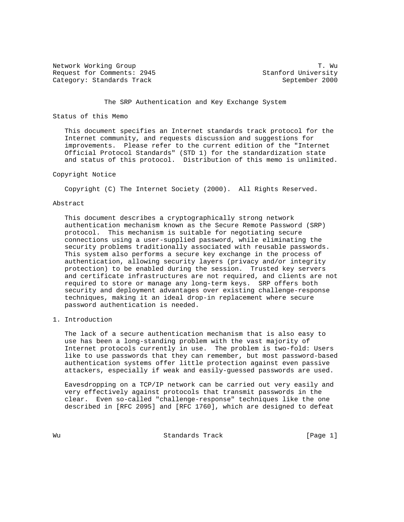Network Working Group T. Wu Request for Comments: 2945 Stanford University Category: Standards Track September 2000

# The SRP Authentication and Key Exchange System

### Status of this Memo

 This document specifies an Internet standards track protocol for the Internet community, and requests discussion and suggestions for improvements. Please refer to the current edition of the "Internet Official Protocol Standards" (STD 1) for the standardization state and status of this protocol. Distribution of this memo is unlimited.

### Copyright Notice

Copyright (C) The Internet Society (2000). All Rights Reserved.

### Abstract

 This document describes a cryptographically strong network authentication mechanism known as the Secure Remote Password (SRP) protocol. This mechanism is suitable for negotiating secure connections using a user-supplied password, while eliminating the security problems traditionally associated with reusable passwords. This system also performs a secure key exchange in the process of authentication, allowing security layers (privacy and/or integrity protection) to be enabled during the session. Trusted key servers and certificate infrastructures are not required, and clients are not required to store or manage any long-term keys. SRP offers both security and deployment advantages over existing challenge-response techniques, making it an ideal drop-in replacement where secure password authentication is needed.

1. Introduction

 The lack of a secure authentication mechanism that is also easy to use has been a long-standing problem with the vast majority of Internet protocols currently in use. The problem is two-fold: Users like to use passwords that they can remember, but most password-based authentication systems offer little protection against even passive attackers, especially if weak and easily-guessed passwords are used.

 Eavesdropping on a TCP/IP network can be carried out very easily and very effectively against protocols that transmit passwords in the clear. Even so-called "challenge-response" techniques like the one described in [RFC 2095] and [RFC 1760], which are designed to defeat

Wu Standards Track [Page 1]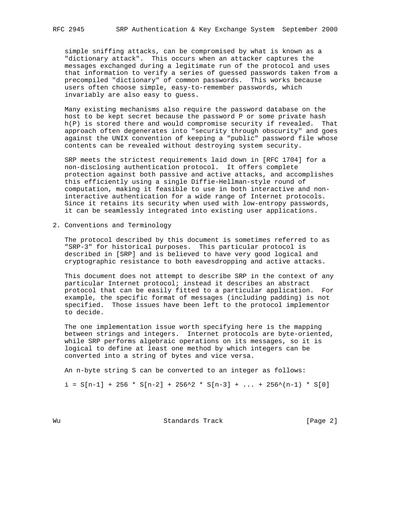simple sniffing attacks, can be compromised by what is known as a "dictionary attack". This occurs when an attacker captures the messages exchanged during a legitimate run of the protocol and uses that information to verify a series of guessed passwords taken from a precompiled "dictionary" of common passwords. This works because users often choose simple, easy-to-remember passwords, which invariably are also easy to guess.

 Many existing mechanisms also require the password database on the host to be kept secret because the password P or some private hash h(P) is stored there and would compromise security if revealed. That approach often degenerates into "security through obscurity" and goes against the UNIX convention of keeping a "public" password file whose contents can be revealed without destroying system security.

 SRP meets the strictest requirements laid down in [RFC 1704] for a non-disclosing authentication protocol. It offers complete protection against both passive and active attacks, and accomplishes this efficiently using a single Diffie-Hellman-style round of computation, making it feasible to use in both interactive and non interactive authentication for a wide range of Internet protocols. Since it retains its security when used with low-entropy passwords, it can be seamlessly integrated into existing user applications.

2. Conventions and Terminology

 The protocol described by this document is sometimes referred to as "SRP-3" for historical purposes. This particular protocol is described in [SRP] and is believed to have very good logical and cryptographic resistance to both eavesdropping and active attacks.

 This document does not attempt to describe SRP in the context of any particular Internet protocol; instead it describes an abstract protocol that can be easily fitted to a particular application. For example, the specific format of messages (including padding) is not specified. Those issues have been left to the protocol implementor to decide.

 The one implementation issue worth specifying here is the mapping between strings and integers. Internet protocols are byte-oriented, while SRP performs algebraic operations on its messages, so it is logical to define at least one method by which integers can be converted into a string of bytes and vice versa.

An n-byte string S can be converted to an integer as follows:

 $i = S[n-1] + 256 * S[n-2] + 256^2 * S[n-3] + ... + 256^2(n-1) * S[0]$ 

Wu **Warehouse Standards Track** [Page 2]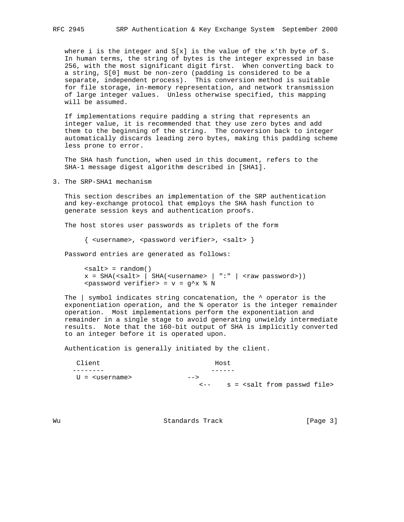where i is the integer and  $S[x]$  is the value of the x'th byte of S. In human terms, the string of bytes is the integer expressed in base 256, with the most significant digit first. When converting back to a string, S[0] must be non-zero (padding is considered to be a separate, independent process). This conversion method is suitable for file storage, in-memory representation, and network transmission of large integer values. Unless otherwise specified, this mapping will be assumed.

 If implementations require padding a string that represents an integer value, it is recommended that they use zero bytes and add them to the beginning of the string. The conversion back to integer automatically discards leading zero bytes, making this padding scheme less prone to error.

 The SHA hash function, when used in this document, refers to the SHA-1 message digest algorithm described in [SHA1].

3. The SRP-SHA1 mechanism

 This section describes an implementation of the SRP authentication and key-exchange protocol that employs the SHA hash function to generate session keys and authentication proofs.

The host stores user passwords as triplets of the form

 $\{$  <username>, <password verifier>, <salt>  $\}$ 

Password entries are generated as follows:

```
\text{salt} = \text{random}()x = SHA(ssalt > | SHA(susername > | ":: | raw password>)<password verifier> = v = g^x % N
```
 The | symbol indicates string concatenation, the ^ operator is the exponentiation operation, and the % operator is the integer remainder operation. Most implementations perform the exponentiation and remainder in a single stage to avoid generating unwieldy intermediate results. Note that the 160-bit output of SHA is implicitly converted to an integer before it is operated upon.

Authentication is generally initiated by the client.

| Client                      |                | Host                                        |
|-----------------------------|----------------|---------------------------------------------|
|                             |                |                                             |
| $U =$ <username></username> | $--$           |                                             |
|                             | $\epsilon$ $-$ | s = <salt file="" from="" passwd=""></salt> |

Wu Standards Track [Page 3]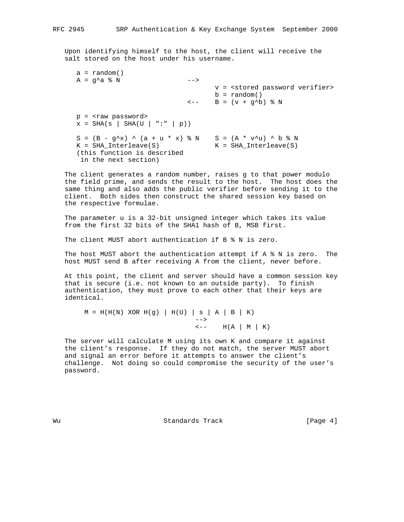Upon identifying himself to the host, the client will receive the salt stored on the host under his username.

```
a = random()A = g^A a \& N -->
                                   v = <stored password verifier>
                                 b = random()\leftarrow - B = (v + g^{\wedge}b) % N
 p = <raw password>
x = SHA(s | SHA(U | "::" | p))S = (B - g^{\wedge}x) ^ (a + u * x) \% N S = (A * v^{\wedge}u) ^ b \% N K = SHA_Interleave(S) K = SHA_Interleave(S)
 (this function is described
  in the next section)
```
 The client generates a random number, raises g to that power modulo the field prime, and sends the result to the host. The host does the same thing and also adds the public verifier before sending it to the client. Both sides then construct the shared session key based on the respective formulae.

 The parameter u is a 32-bit unsigned integer which takes its value from the first 32 bits of the SHA1 hash of B, MSB first.

The client MUST abort authentication if B % N is zero.

The host MUST abort the authentication attempt if  $A \$   $N$  is zero. The host MUST send B after receiving A from the client, never before.

 At this point, the client and server should have a common session key that is secure (i.e. not known to an outside party). To finish authentication, they must prove to each other that their keys are identical.

 $M = H(H(N)$  XOR  $H(g)$  |  $H(U)$  | s | A | B | K) -->  $\leftarrow H(A | M | K)$ 

 The server will calculate M using its own K and compare it against the client's response. If they do not match, the server MUST abort and signal an error before it attempts to answer the client's challenge. Not doing so could compromise the security of the user's password.

Wu Standards Track [Page 4]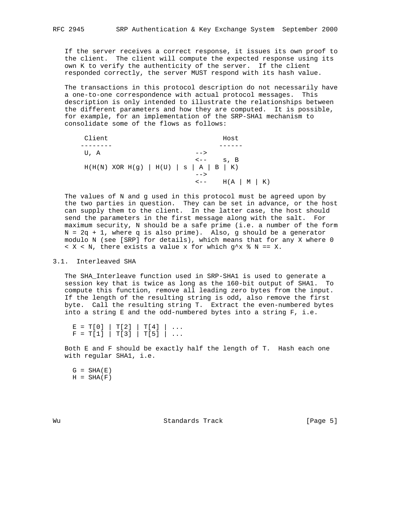If the server receives a correct response, it issues its own proof to the client. The client will compute the expected response using its own K to verify the authenticity of the server. If the client responded correctly, the server MUST respond with its hash value.

 The transactions in this protocol description do not necessarily have a one-to-one correspondence with actual protocol messages. This description is only intended to illustrate the relationships between the different parameters and how they are computed. It is possible, for example, for an implementation of the SRP-SHA1 mechanism to consolidate some of the flows as follows:

| Client | Host                                                                              |                      |
|--------|-----------------------------------------------------------------------------------|----------------------|
|        |                                                                                   |                      |
| U, A   | $--$                                                                              |                      |
|        | $\leftarrow  \quad$ s, B<br>$H(H(N)$ XOR $H(g)$   $H(U)$   s   A   B   K)<br>$--$ |                      |
|        | $\lt$ $-$                                                                         | $H(A \mid M \mid K)$ |

 The values of N and g used in this protocol must be agreed upon by the two parties in question. They can be set in advance, or the host can supply them to the client. In the latter case, the host should send the parameters in the first message along with the salt. For maximum security, N should be a safe prime (i.e. a number of the form  $N = 2q + 1$ , where q is also prime). Also, g should be a generator modulo N (see [SRP] for details), which means that for any X where 0  $X \times N$ , there exists a value x for which  $q^x \times N == X$ .

#### 3.1. Interleaved SHA

 The SHA\_Interleave function used in SRP-SHA1 is used to generate a session key that is twice as long as the 160-bit output of SHA1. To compute this function, remove all leading zero bytes from the input. If the length of the resulting string is odd, also remove the first byte. Call the resulting string T. Extract the even-numbered bytes into a string E and the odd-numbered bytes into a string F, i.e.

 $E = T[0] | T[2] | T[4] | ...$  $F = T[1] | T[3] | T[5] | ...$ 

 Both E and F should be exactly half the length of T. Hash each one with regular SHA1, i.e.

 $G = SHA(E)$  $H = SHA(F)$ 

Wu Standards Track [Page 5]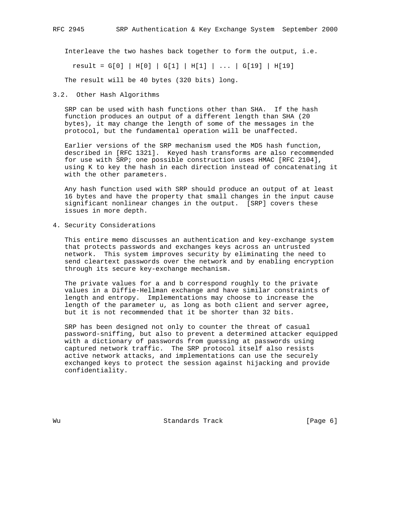Interleave the two hashes back together to form the output, i.e.

result = G[0] | H[0] | G[1] | H[1] | ... | G[19] | H[19]

The result will be 40 bytes (320 bits) long.

3.2. Other Hash Algorithms

 SRP can be used with hash functions other than SHA. If the hash function produces an output of a different length than SHA (20 bytes), it may change the length of some of the messages in the protocol, but the fundamental operation will be unaffected.

 Earlier versions of the SRP mechanism used the MD5 hash function, described in [RFC 1321]. Keyed hash transforms are also recommended for use with SRP; one possible construction uses HMAC [RFC 2104], using K to key the hash in each direction instead of concatenating it with the other parameters.

 Any hash function used with SRP should produce an output of at least 16 bytes and have the property that small changes in the input cause significant nonlinear changes in the output. [SRP] covers these issues in more depth.

4. Security Considerations

 This entire memo discusses an authentication and key-exchange system that protects passwords and exchanges keys across an untrusted network. This system improves security by eliminating the need to send cleartext passwords over the network and by enabling encryption through its secure key-exchange mechanism.

 The private values for a and b correspond roughly to the private values in a Diffie-Hellman exchange and have similar constraints of length and entropy. Implementations may choose to increase the length of the parameter u, as long as both client and server agree, but it is not recommended that it be shorter than 32 bits.

 SRP has been designed not only to counter the threat of casual password-sniffing, but also to prevent a determined attacker equipped with a dictionary of passwords from guessing at passwords using captured network traffic. The SRP protocol itself also resists active network attacks, and implementations can use the securely exchanged keys to protect the session against hijacking and provide confidentiality.

Wu **Standards Track** [Page 6]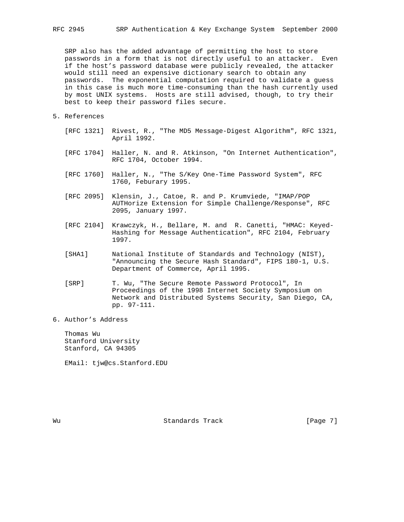SRP also has the added advantage of permitting the host to store passwords in a form that is not directly useful to an attacker. Even if the host's password database were publicly revealed, the attacker would still need an expensive dictionary search to obtain any passwords. The exponential computation required to validate a guess in this case is much more time-consuming than the hash currently used by most UNIX systems. Hosts are still advised, though, to try their best to keep their password files secure.

- 5. References
	- [RFC 1321] Rivest, R., "The MD5 Message-Digest Algorithm", RFC 1321, April 1992.
	- [RFC 1704] Haller, N. and R. Atkinson, "On Internet Authentication", RFC 1704, October 1994.
	- [RFC 1760] Haller, N., "The S/Key One-Time Password System", RFC 1760, Feburary 1995.
	- [RFC 2095] Klensin, J., Catoe, R. and P. Krumviede, "IMAP/POP AUTHorize Extension for Simple Challenge/Response", RFC 2095, January 1997.
	- [RFC 2104] Krawczyk, H., Bellare, M. and R. Canetti, "HMAC: Keyed- Hashing for Message Authentication", RFC 2104, February 1997.
	- [SHA1] National Institute of Standards and Technology (NIST), "Announcing the Secure Hash Standard", FIPS 180-1, U.S. Department of Commerce, April 1995.
	- [SRP] T. Wu, "The Secure Remote Password Protocol", In Proceedings of the 1998 Internet Society Symposium on Network and Distributed Systems Security, San Diego, CA, pp. 97-111.
- 6. Author's Address

 Thomas Wu Stanford University Stanford, CA 94305

EMail: tjw@cs.Stanford.EDU

Wu Standards Track [Page 7]